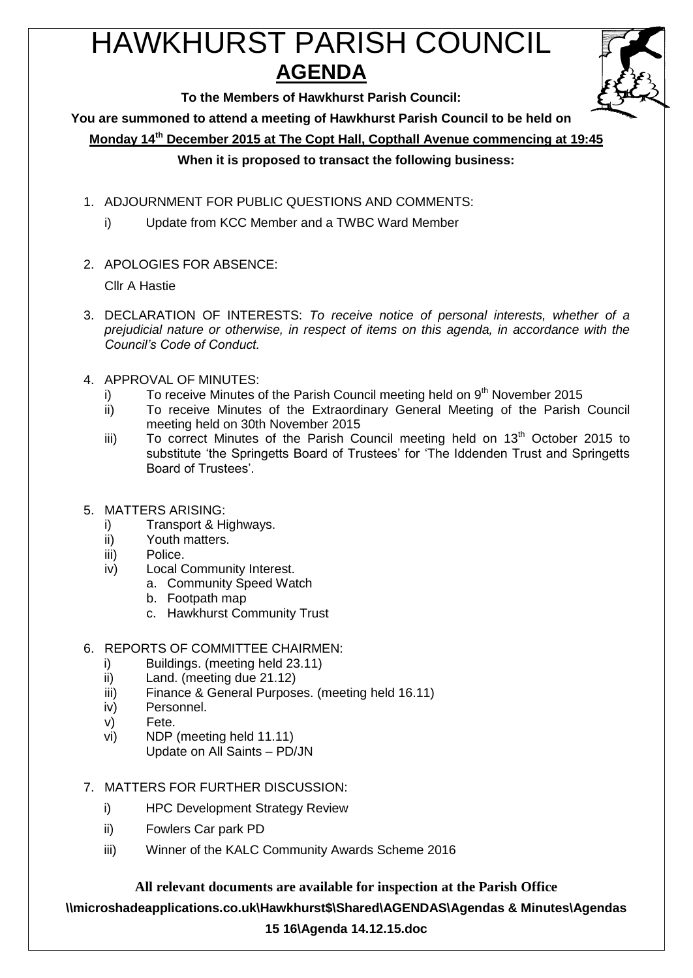# HAWKHURST PARISH COUNCIL **AGENDA**

**To the Members of Hawkhurst Parish Council:**

**You are summoned to attend a meeting of Hawkhurst Parish Council to be held on**

**Monday 14th December 2015 at The Copt Hall, Copthall Avenue commencing at 19:45**

### **When it is proposed to transact the following business:**

- 1. ADJOURNMENT FOR PUBLIC QUESTIONS AND COMMENTS:
	- i) Update from KCC Member and a TWBC Ward Member
- 2. APOLOGIES FOR ABSENCE:

Cllr A Hastie

- 3. DECLARATION OF INTERESTS: *To receive notice of personal interests, whether of a prejudicial nature or otherwise, in respect of items on this agenda, in accordance with the Council's Code of Conduct.*
- 4. APPROVAL OF MINUTES:
	- i) To receive Minutes of the Parish Council meeting held on  $9<sup>th</sup>$  November 2015
	- ii) To receive Minutes of the Extraordinary General Meeting of the Parish Council meeting held on 30th November 2015
	- iii) To correct Minutes of the Parish Council meeting held on  $13<sup>th</sup>$  October 2015 to substitute 'the Springetts Board of Trustees' for 'The Iddenden Trust and Springetts Board of Trustees'.
- 5. MATTERS ARISING:
	- i) Transport & Highways.
	- ii) Youth matters.
	- iii) Police.
	- iv) Local Community Interest.
		- a. Community Speed Watch
			- b. Footpath map
			- c. Hawkhurst Community Trust

# 6. REPORTS OF COMMITTEE CHAIRMEN:

- i) Buildings. (meeting held 23.11)
- ii) Land. (meeting due 21.12)
- iii) Finance & General Purposes. (meeting held 16.11)
- iv) Personnel.
- v) Fete.
- vi) NDP (meeting held 11.11) Update on All Saints – PD/JN

# 7. MATTERS FOR FURTHER DISCUSSION:

- i) HPC Development Strategy Review
- ii) Fowlers Car park PD
- iii) Winner of the KALC Community Awards Scheme 2016

# **All relevant documents are available for inspection at the Parish Office**

**\\microshadeapplications.co.uk\Hawkhurst\$\Shared\AGENDAS\Agendas & Minutes\Agendas** 

# **15 16\Agenda 14.12.15.doc**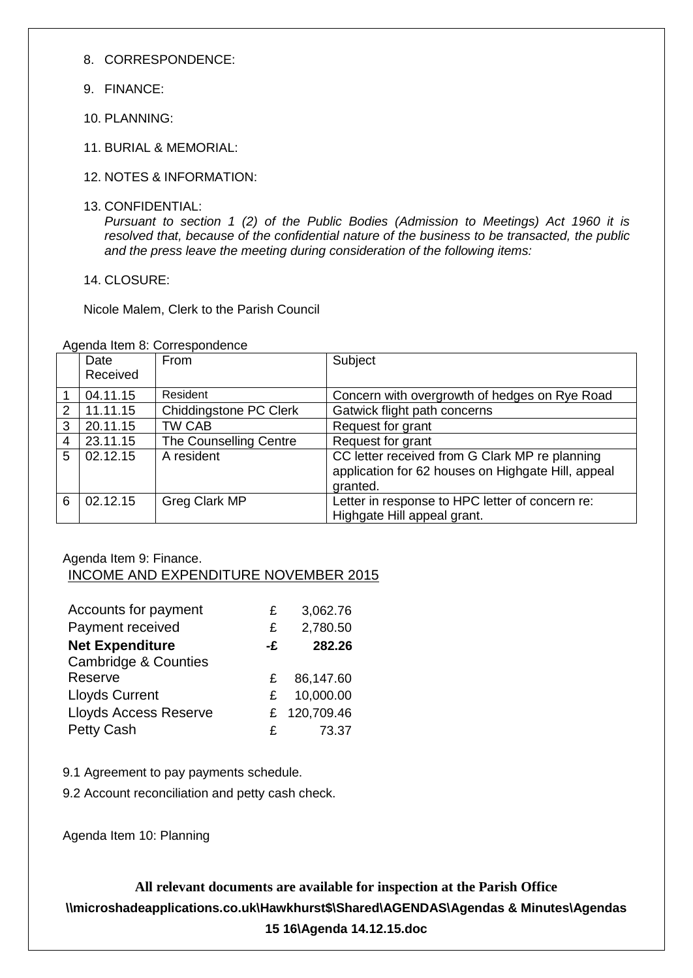8. CORRESPONDENCE:

- 9. FINANCE:
- 10. PLANNING:
- 11. BURIAL & MEMORIAL:
- 12. NOTES & INFORMATION:
- 13. CONFIDENTIAL:

*Pursuant to section 1 (2) of the Public Bodies (Admission to Meetings) Act 1960 it is resolved that, because of the confidential nature of the business to be transacted, the public and the press leave the meeting during consideration of the following items:*

14. CLOSURE:

Nicole Malem, Clerk to the Parish Council

|   | Date     | From                   | Subject                                                                                                          |
|---|----------|------------------------|------------------------------------------------------------------------------------------------------------------|
|   | Received |                        |                                                                                                                  |
|   | 04.11.15 | Resident               | Concern with overgrowth of hedges on Rye Road                                                                    |
| 2 | 11.11.15 | Chiddingstone PC Clerk | Gatwick flight path concerns                                                                                     |
| 3 | 20.11.15 | TW CAB                 | Request for grant                                                                                                |
| 4 | 23.11.15 | The Counselling Centre | Request for grant                                                                                                |
| 5 | 02.12.15 | A resident             | CC letter received from G Clark MP re planning<br>application for 62 houses on Highgate Hill, appeal<br>granted. |
| 6 | 02.12.15 | Greg Clark MP          | Letter in response to HPC letter of concern re:<br>Highgate Hill appeal grant.                                   |

Agenda Item 8: Correspondence

#### Agenda Item 9: Finance. INCOME AND EXPENDITURE NOVEMBER 2015

| Accounts for payment            | £  | 3,062.76   |
|---------------------------------|----|------------|
| Payment received                | £  | 2,780.50   |
| <b>Net Expenditure</b>          | -£ | 282.26     |
| <b>Cambridge &amp; Counties</b> |    |            |
| Reserve                         | £. | 86,147.60  |
| <b>Lloyds Current</b>           | £. | 10,000.00  |
| <b>Lloyds Access Reserve</b>    | £. | 120,709.46 |
| <b>Petty Cash</b>               | £  | 73.37      |

9.1 Agreement to pay payments schedule.

9.2 Account reconciliation and petty cash check.

Agenda Item 10: Planning

**All relevant documents are available for inspection at the Parish Office \\microshadeapplications.co.uk\Hawkhurst\$\Shared\AGENDAS\Agendas & Minutes\Agendas 15 16\Agenda 14.12.15.doc**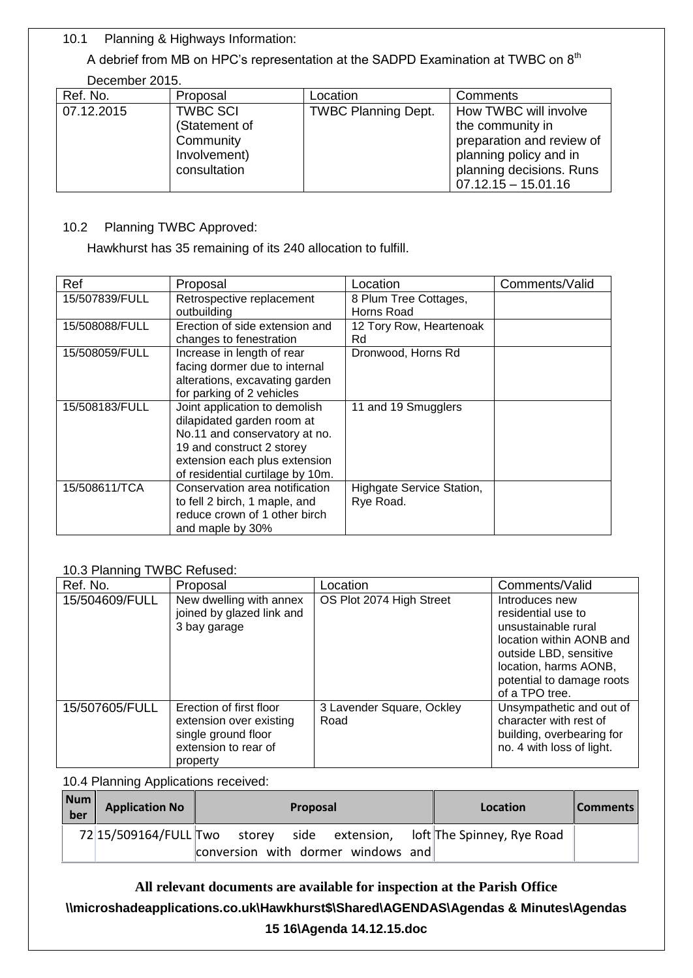10.1 Planning & Highways Information:

A debrief from MB on HPC's representation at the SADPD Examination at TWBC on 8<sup>th</sup> December 2015.

| $-$        |                 |                            |                           |
|------------|-----------------|----------------------------|---------------------------|
| Ref. No.   | Proposal        | Location                   | Comments                  |
| 07.12.2015 | <b>TWBC SCI</b> | <b>TWBC Planning Dept.</b> | How TWBC will involve     |
|            | (Statement of   |                            | the community in          |
|            | Community       |                            | preparation and review of |
|            | Involvement)    |                            | planning policy and in    |
|            | consultation    |                            | planning decisions. Runs  |
|            |                 |                            | $07.12.15 - 15.01.16$     |

#### 10.2 Planning TWBC Approved:

Hawkhurst has 35 remaining of its 240 allocation to fulfill.

| Ref            | Proposal                                                                                                                                                                                       | Location                               | Comments/Valid |
|----------------|------------------------------------------------------------------------------------------------------------------------------------------------------------------------------------------------|----------------------------------------|----------------|
| 15/507839/FULL | Retrospective replacement<br>outbuilding                                                                                                                                                       | 8 Plum Tree Cottages,<br>Horns Road    |                |
| 15/508088/FULL | Erection of side extension and<br>changes to fenestration                                                                                                                                      | 12 Tory Row, Heartenoak<br>Rd          |                |
| 15/508059/FULL | Increase in length of rear<br>facing dormer due to internal<br>alterations, excavating garden<br>for parking of 2 vehicles                                                                     | Dronwood, Horns Rd                     |                |
| 15/508183/FULL | Joint application to demolish<br>dilapidated garden room at<br>No.11 and conservatory at no.<br>19 and construct 2 storey<br>extension each plus extension<br>of residential curtilage by 10m. | 11 and 19 Smugglers                    |                |
| 15/508611/TCA  | Conservation area notification<br>to fell 2 birch, 1 maple, and<br>reduce crown of 1 other birch<br>and maple by 30%                                                                           | Highgate Service Station,<br>Rye Road. |                |

#### 10.3 Planning TWBC Refused:

| Ref. No.       | Proposal                                                                                                      | Location                          | Comments/Valid                                                                                                                                                                            |
|----------------|---------------------------------------------------------------------------------------------------------------|-----------------------------------|-------------------------------------------------------------------------------------------------------------------------------------------------------------------------------------------|
| 15/504609/FULL | New dwelling with annex<br>joined by glazed link and<br>3 bay garage                                          | OS Plot 2074 High Street          | Introduces new<br>residential use to<br>unsustainable rural<br>location within AONB and<br>outside LBD, sensitive<br>location, harms AONB,<br>potential to damage roots<br>of a TPO tree. |
| 15/507605/FULL | Erection of first floor<br>extension over existing<br>single ground floor<br>extension to rear of<br>property | 3 Lavender Square, Ockley<br>Road | Unsympathetic and out of<br>character with rest of<br>building, overbearing for<br>no. 4 with loss of light.                                                                              |

10.4 Planning Applications received:

| Num<br>ber | <b>Application No</b> | <b>Proposal</b>                                                         | Location | <b>Comments</b> |
|------------|-----------------------|-------------------------------------------------------------------------|----------|-----------------|
|            |                       | 72 15/509164/FULL Two storey side extension, loft The Spinney, Rye Road |          |                 |
|            |                       | conversion with dormer windows and                                      |          |                 |

**All relevant documents are available for inspection at the Parish Office \\microshadeapplications.co.uk\Hawkhurst\$\Shared\AGENDAS\Agendas & Minutes\Agendas 15 16\Agenda 14.12.15.doc**